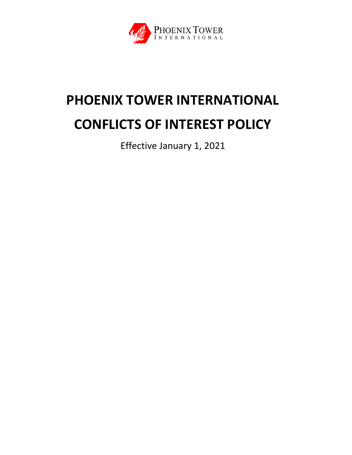

# **PHOENIX TOWER INTERNATIONAL CONFLICTS OF INTEREST POLICY**

Effective January 1, 2021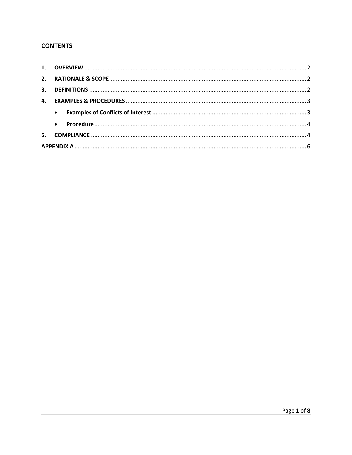## **CONTENTS**

| 4. |  |  |  |  |
|----|--|--|--|--|
|    |  |  |  |  |
|    |  |  |  |  |
|    |  |  |  |  |
|    |  |  |  |  |
|    |  |  |  |  |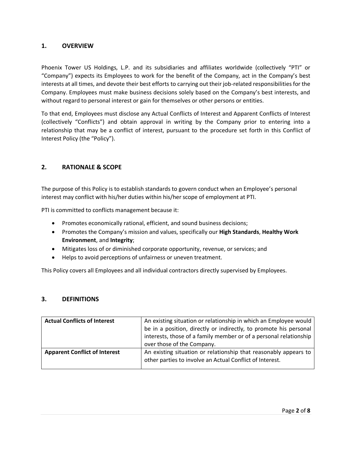## <span id="page-2-0"></span>**1. OVERVIEW**

Phoenix Tower US Holdings, L.P. and its subsidiaries and affiliates worldwide (collectively "PTI" or "Company") expects its Employees to work for the benefit of the Company, act in the Company's best interests at all times, and devote their best efforts to carrying out their job-related responsibilities for the Company. Employees must make business decisions solely based on the Company's best interests, and without regard to personal interest or gain for themselves or other persons or entities.

To that end, Employees must disclose any Actual Conflicts of Interest and Apparent Conflicts of Interest (collectively "Conflicts") and obtain approval in writing by the Company prior to entering into a relationship that may be a conflict of interest, pursuant to the procedure set forth in this Conflict of Interest Policy (the "Policy").

## <span id="page-2-1"></span>**2. RATIONALE & SCOPE**

The purpose of this Policy is to establish standards to govern conduct when an Employee's personal interest may conflict with his/her duties within his/her scope of employment at PTI.

PTI is committed to conflicts management because it:

- Promotes economically rational, efficient, and sound business decisions;
- Promotes the Company's mission and values, specifically our **High Standards**, **Healthy Work Environment**, and **Integrity**;
- Mitigates loss of or diminished corporate opportunity, revenue, or services; and
- Helps to avoid perceptions of unfairness or uneven treatment.

This Policy covers all Employees and all individual contractors directly supervised by Employees.

### <span id="page-2-2"></span>**3. DEFINITIONS**

| <b>Actual Conflicts of Interest</b>  | An existing situation or relationship in which an Employee would<br>be in a position, directly or indirectly, to promote his personal<br>interests, those of a family member or of a personal relationship<br>over those of the Company. |
|--------------------------------------|------------------------------------------------------------------------------------------------------------------------------------------------------------------------------------------------------------------------------------------|
| <b>Apparent Conflict of Interest</b> | An existing situation or relationship that reasonably appears to<br>other parties to involve an Actual Conflict of Interest.                                                                                                             |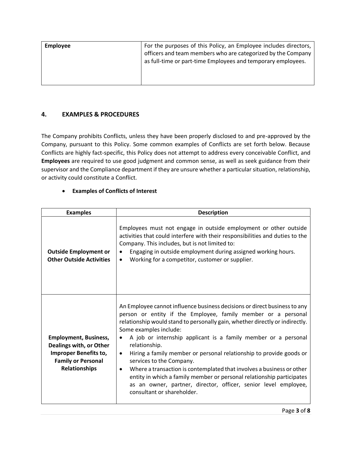| Employee | For the purposes of this Policy, an Employee includes directors,<br>officers and team members who are categorized by the Company<br>as full-time or part-time Employees and temporary employees. |
|----------|--------------------------------------------------------------------------------------------------------------------------------------------------------------------------------------------------|
|          |                                                                                                                                                                                                  |

## <span id="page-3-0"></span>**4. EXAMPLES & PROCEDURES**

The Company prohibits Conflicts, unless they have been properly disclosed to and pre-approved by the Company, pursuant to this Policy. Some common examples of Conflicts are set forth below. Because Conflicts are highly fact-specific, this Policy does not attempt to address every conceivable Conflict, and **Employees** are required to use good judgment and common sense, as well as seek guidance from their supervisor and the Compliance department if they are unsure whether a particular situation, relationship, or activity could constitute a Conflict.

### • **Examples of Conflicts of Interest**

<span id="page-3-1"></span>

| <b>Examples</b>                                                                                                                              | <b>Description</b>                                                                                                                                                                                                                                                                                                                                                                                                                                                                                                                                                                                                                                                                                                                   |
|----------------------------------------------------------------------------------------------------------------------------------------------|--------------------------------------------------------------------------------------------------------------------------------------------------------------------------------------------------------------------------------------------------------------------------------------------------------------------------------------------------------------------------------------------------------------------------------------------------------------------------------------------------------------------------------------------------------------------------------------------------------------------------------------------------------------------------------------------------------------------------------------|
| <b>Outside Employment or</b><br><b>Other Outside Activities</b>                                                                              | Employees must not engage in outside employment or other outside<br>activities that could interfere with their responsibilities and duties to the<br>Company. This includes, but is not limited to:<br>Engaging in outside employment during assigned working hours.<br>٠<br>Working for a competitor, customer or supplier.<br>$\bullet$                                                                                                                                                                                                                                                                                                                                                                                            |
| <b>Employment, Business,</b><br>Dealings with, or Other<br><b>Improper Benefits to,</b><br><b>Family or Personal</b><br><b>Relationships</b> | An Employee cannot influence business decisions or direct business to any<br>person or entity if the Employee, family member or a personal<br>relationship would stand to personally gain, whether directly or indirectly.<br>Some examples include:<br>A job or internship applicant is a family member or a personal<br>$\bullet$<br>relationship.<br>Hiring a family member or personal relationship to provide goods or<br>$\bullet$<br>services to the Company.<br>Where a transaction is contemplated that involves a business or other<br>$\bullet$<br>entity in which a family member or personal relationship participates<br>as an owner, partner, director, officer, senior level employee,<br>consultant or shareholder. |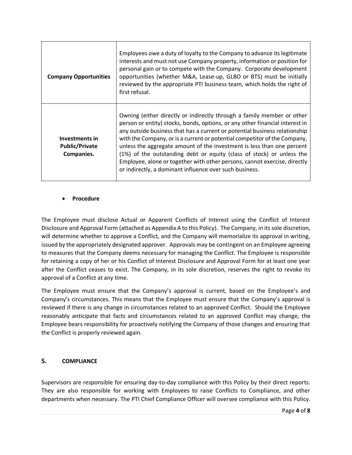| <b>Company Opportunities</b>                                 | Employees owe a duty of loyalty to the Company to advance its legitimate<br>interests and must not use Company property, information or position for<br>personal gain or to compete with the Company. Corporate development<br>opportunities (whether M&A, Lease-up, GLBO or BTS) must be initially<br>reviewed by the appropriate PTI business team, which holds the right of<br>first refusal.                                                                                                                                                                                                             |
|--------------------------------------------------------------|--------------------------------------------------------------------------------------------------------------------------------------------------------------------------------------------------------------------------------------------------------------------------------------------------------------------------------------------------------------------------------------------------------------------------------------------------------------------------------------------------------------------------------------------------------------------------------------------------------------|
| <b>Investments in</b><br><b>Public/Private</b><br>Companies. | Owning (either directly or indirectly through a family member or other<br>person or entity) stocks, bonds, options, or any other financial interest in<br>any outside business that has a current or potential business relationship<br>with the Company, or is a current or potential competitor of the Company,<br>unless the aggregate amount of the investment is less than one percent<br>(1%) of the outstanding debt or equity (class of stock) or unless the<br>Employee, alone or together with other persons, cannot exercise, directly<br>or indirectly, a dominant influence over such business. |

#### <span id="page-4-0"></span>• **Procedure**

The Employee must disclose Actual or Apparent Conflicts of Interest using the Conflict of Interest Disclosure and Approval Form (attached as Appendix A to this Policy). The Company, in its sole discretion, will determine whether to approve a Conflict, and the Company will memorialize its approval in writing, issued by the appropriately designated approver. Approvals may be contingent on an Employee agreeing to measures that the Company deems necessary for managing the Conflict. The Employee is responsible for retaining a copy of her or his Conflict of Interest Disclosure and Approval Form for at least one year after the Conflict ceases to exist. The Company, in its sole discretion, reserves the right to revoke its approval of a Conflict at any time.

The Employee must ensure that the Company's approval is current, based on the Employee's and Company's circumstances. This means that the Employee must ensure that the Company's approval is reviewed if there is any change in circumstances related to an approved Conflict. Should the Employee reasonably anticipate that facts and circumstances related to an approved Conflict may change, the Employee bears responsibility for proactively notifying the Company of those changes and ensuring that the Conflict is properly reviewed again.

### <span id="page-4-1"></span>**5. COMPLIANCE**

Supervisors are responsible for ensuring day-to-day compliance with this Policy by their direct reports. They are also responsible for working with Employees to raise Conflicts to Compliance, and other departments when necessary. The PTI Chief Compliance Officer will oversee compliance with this Policy.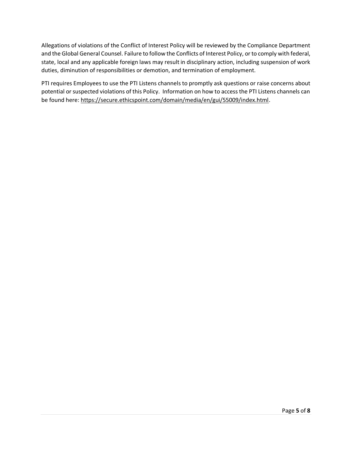Allegations of violations of the Conflict of Interest Policy will be reviewed by the Compliance Department and the Global General Counsel. Failure to follow the Conflicts of Interest Policy, or to comply with federal, state, local and any applicable foreign laws may result in disciplinary action, including suspension of work duties, diminution of responsibilities or demotion, and termination of employment.

PTI requires Employees to use the PTI Listens channels to promptly ask questions or raise concerns about potential or suspected violations of this Policy. Information on how to access the PTI Listens channels can be found here[: https://secure.ethicspoint.com/domain/media/en/gui/55009/index.html.](https://secure.ethicspoint.com/domain/media/en/gui/55009/index.html)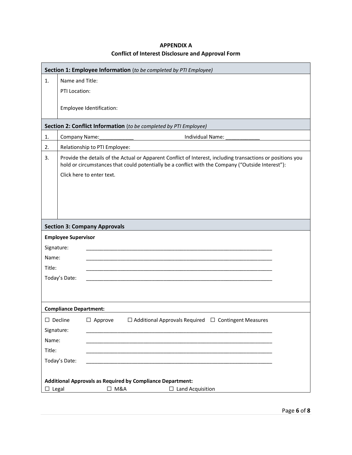<span id="page-6-0"></span>

|                               | Section 1: Employee Information (to be completed by PTI Employee)                                                                                                                                                                             |                                     |                                                                   |  |
|-------------------------------|-----------------------------------------------------------------------------------------------------------------------------------------------------------------------------------------------------------------------------------------------|-------------------------------------|-------------------------------------------------------------------|--|
| 1.                            | Name and Title:                                                                                                                                                                                                                               |                                     |                                                                   |  |
|                               | PTI Location:                                                                                                                                                                                                                                 |                                     |                                                                   |  |
|                               |                                                                                                                                                                                                                                               | Employee Identification:            |                                                                   |  |
|                               |                                                                                                                                                                                                                                               |                                     | Section 2: Conflict Information (to be completed by PTI Employee) |  |
| 1.                            | Company Name:                                                                                                                                                                                                                                 |                                     | Individual Name:                                                  |  |
| 2.                            |                                                                                                                                                                                                                                               | Relationship to PTI Employee:       |                                                                   |  |
| 3.                            | Provide the details of the Actual or Apparent Conflict of Interest, including transactions or positions you<br>hold or circumstances that could potentially be a conflict with the Company ("Outside Interest"):<br>Click here to enter text. |                                     |                                                                   |  |
|                               |                                                                                                                                                                                                                                               |                                     |                                                                   |  |
|                               |                                                                                                                                                                                                                                               |                                     |                                                                   |  |
|                               |                                                                                                                                                                                                                                               |                                     |                                                                   |  |
|                               |                                                                                                                                                                                                                                               |                                     |                                                                   |  |
|                               |                                                                                                                                                                                                                                               | <b>Section 3: Company Approvals</b> |                                                                   |  |
|                               | <b>Employee Supervisor</b>                                                                                                                                                                                                                    |                                     |                                                                   |  |
| Signature:                    |                                                                                                                                                                                                                                               |                                     |                                                                   |  |
|                               | Name:                                                                                                                                                                                                                                         |                                     |                                                                   |  |
| Title:                        |                                                                                                                                                                                                                                               |                                     |                                                                   |  |
|                               | Today's Date:                                                                                                                                                                                                                                 |                                     |                                                                   |  |
|                               |                                                                                                                                                                                                                                               |                                     |                                                                   |  |
|                               |                                                                                                                                                                                                                                               |                                     |                                                                   |  |
| <b>Compliance Department:</b> |                                                                                                                                                                                                                                               |                                     |                                                                   |  |
|                               | $\Box$ Decline                                                                                                                                                                                                                                | $\Box$ Approve                      | $\Box$ Additional Approvals Required $\Box$ Contingent Measures   |  |
|                               | Signature:                                                                                                                                                                                                                                    |                                     |                                                                   |  |
| Name:                         |                                                                                                                                                                                                                                               |                                     |                                                                   |  |
| Title:                        |                                                                                                                                                                                                                                               |                                     |                                                                   |  |
|                               | Today's Date:                                                                                                                                                                                                                                 |                                     |                                                                   |  |
|                               |                                                                                                                                                                                                                                               |                                     |                                                                   |  |
|                               | <b>Additional Approvals as Required by Compliance Department:</b>                                                                                                                                                                             |                                     |                                                                   |  |
| $\Box$ Legal                  |                                                                                                                                                                                                                                               | $\Box$ M&A                          | $\Box$ Land Acquisition                                           |  |

## **APPENDIX A Conflict of Interest Disclosure and Approval Form**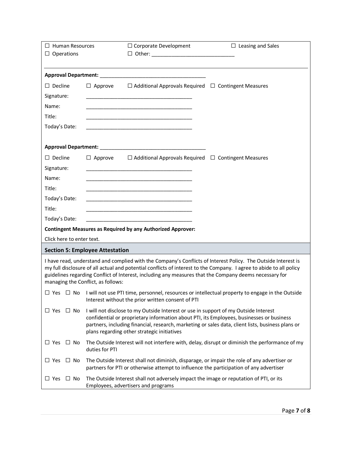| $\Box$ Human Resources<br>$\Box$ Operations                                                                                                                                                                                                                                                                                                                                          |                | $\Box$ Corporate Development                                                                                                       | $\Box$ Leasing and Sales                                                                                                                                                                      |
|--------------------------------------------------------------------------------------------------------------------------------------------------------------------------------------------------------------------------------------------------------------------------------------------------------------------------------------------------------------------------------------|----------------|------------------------------------------------------------------------------------------------------------------------------------|-----------------------------------------------------------------------------------------------------------------------------------------------------------------------------------------------|
|                                                                                                                                                                                                                                                                                                                                                                                      |                |                                                                                                                                    |                                                                                                                                                                                               |
|                                                                                                                                                                                                                                                                                                                                                                                      |                |                                                                                                                                    |                                                                                                                                                                                               |
| $\Box$ Decline                                                                                                                                                                                                                                                                                                                                                                       |                | $\Box$ Approve $\Box$ Additional Approvals Required $\Box$ Contingent Measures                                                     |                                                                                                                                                                                               |
| Signature:                                                                                                                                                                                                                                                                                                                                                                           |                |                                                                                                                                    |                                                                                                                                                                                               |
| Name:                                                                                                                                                                                                                                                                                                                                                                                |                |                                                                                                                                    |                                                                                                                                                                                               |
| Title:                                                                                                                                                                                                                                                                                                                                                                               |                |                                                                                                                                    |                                                                                                                                                                                               |
| Today's Date:                                                                                                                                                                                                                                                                                                                                                                        |                |                                                                                                                                    |                                                                                                                                                                                               |
|                                                                                                                                                                                                                                                                                                                                                                                      |                |                                                                                                                                    |                                                                                                                                                                                               |
|                                                                                                                                                                                                                                                                                                                                                                                      |                |                                                                                                                                    |                                                                                                                                                                                               |
| $\Box$ Decline                                                                                                                                                                                                                                                                                                                                                                       | $\Box$ Approve | $\Box$ Additional Approvals Required $\Box$ Contingent Measures                                                                    |                                                                                                                                                                                               |
| Signature:                                                                                                                                                                                                                                                                                                                                                                           |                | <u> 1989 - Johann Harry Harry Harry Harry Harry Harry Harry Harry Harry Harry Harry Harry Harry Harry Harry Harry</u>              |                                                                                                                                                                                               |
| Name:                                                                                                                                                                                                                                                                                                                                                                                |                |                                                                                                                                    |                                                                                                                                                                                               |
| Title:                                                                                                                                                                                                                                                                                                                                                                               |                |                                                                                                                                    |                                                                                                                                                                                               |
| Today's Date:                                                                                                                                                                                                                                                                                                                                                                        |                | the control of the control of the control of the control of the control of the control of                                          |                                                                                                                                                                                               |
| Title:                                                                                                                                                                                                                                                                                                                                                                               |                | the control of the control of the control of the control of the control of the control of                                          |                                                                                                                                                                                               |
| Today's Date:                                                                                                                                                                                                                                                                                                                                                                        |                |                                                                                                                                    |                                                                                                                                                                                               |
|                                                                                                                                                                                                                                                                                                                                                                                      |                | <b>Contingent Measures as Required by any Authorized Approver:</b>                                                                 |                                                                                                                                                                                               |
| Click here to enter text.                                                                                                                                                                                                                                                                                                                                                            |                |                                                                                                                                    |                                                                                                                                                                                               |
| <b>Section 5: Employee Attestation</b>                                                                                                                                                                                                                                                                                                                                               |                |                                                                                                                                    |                                                                                                                                                                                               |
| I have read, understand and complied with the Company's Conflicts of Interest Policy. The Outside Interest is<br>my full disclosure of all actual and potential conflicts of interest to the Company. I agree to abide to all policy<br>guidelines regarding Conflict of Interest, including any measures that the Company deems necessary for<br>managing the Conflict, as follows: |                |                                                                                                                                    |                                                                                                                                                                                               |
|                                                                                                                                                                                                                                                                                                                                                                                      |                | Interest without the prior written consent of PTI                                                                                  | $\Box$ Yes $\Box$ No I will not use PTI time, personnel, resources or intellectual property to engage in the Outside                                                                          |
| $\Box$ No<br>$\sqcup$ Yes                                                                                                                                                                                                                                                                                                                                                            |                | I will not disclose to my Outside Interest or use in support of my Outside Interest<br>plans regarding other strategic initiatives | confidential or proprietary information about PTI, its Employees, businesses or business<br>partners, including financial, research, marketing or sales data, client lists, business plans or |
| $\Box$ Yes $\Box$ No                                                                                                                                                                                                                                                                                                                                                                 | duties for PTI |                                                                                                                                    | The Outside Interest will not interfere with, delay, disrupt or diminish the performance of my                                                                                                |
| $\Box$ Yes $\Box$ No                                                                                                                                                                                                                                                                                                                                                                 |                | partners for PTI or otherwise attempt to influence the participation of any advertiser                                             | The Outside Interest shall not diminish, disparage, or impair the role of any advertiser or                                                                                                   |
| $\square$ Yes<br>$\Box$ No                                                                                                                                                                                                                                                                                                                                                           |                | The Outside Interest shall not adversely impact the image or reputation of PTI, or its<br>Employees, advertisers and programs      |                                                                                                                                                                                               |